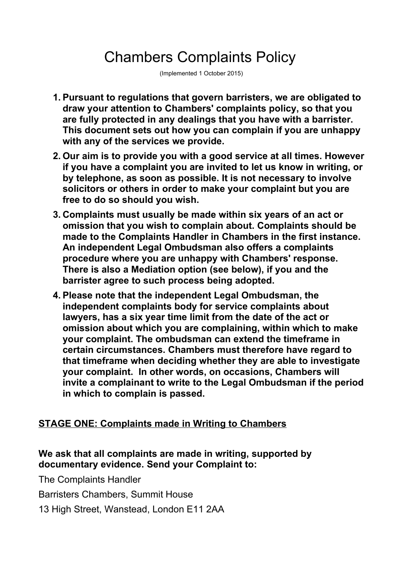# Chambers Complaints Policy

(Implemented 1 October 2015)

- **1. Pursuant to regulations that govern barristers, we are obligated to draw your attention to Chambers' complaints policy, so that you are fully protected in any dealings that you have with a barrister. This document sets out how you can complain if you are unhappy with any of the services we provide.**
- **2. Our aim is to provide you with a good service at all times. However if you have a complaint you are invited to let us know in writing, or by telephone, as soon as possible. It is not necessary to involve solicitors or others in order to make your complaint but you are free to do so should you wish.**
- **3. Complaints must usually be made within six years of an act or omission that you wish to complain about. Complaints should be made to the Complaints Handler in Chambers in the first instance. An independent Legal Ombudsman also offers a complaints procedure where you are unhappy with Chambers' response. There is also a Mediation option (see below), if you and the barrister agree to such process being adopted.**
- **4. Please note that the independent Legal Ombudsman, the independent complaints body for service complaints about lawyers, has a six year time limit from the date of the act or omission about which you are complaining, within which to make your complaint. The ombudsman can extend the timeframe in certain circumstances. Chambers must therefore have regard to that timeframe when deciding whether they are able to investigate your complaint. In other words, on occasions, Chambers will invite a complainant to write to the Legal Ombudsman if the period in which to complain is passed.**

#### **STAGE ONE: Complaints made in Writing to Chambers**

#### **We ask that all complaints are made in writing, supported by documentary evidence. Send your Complaint to:**

The Complaints Handler

Barristers Chambers, Summit House

13 High Street, Wanstead, London E11 2AA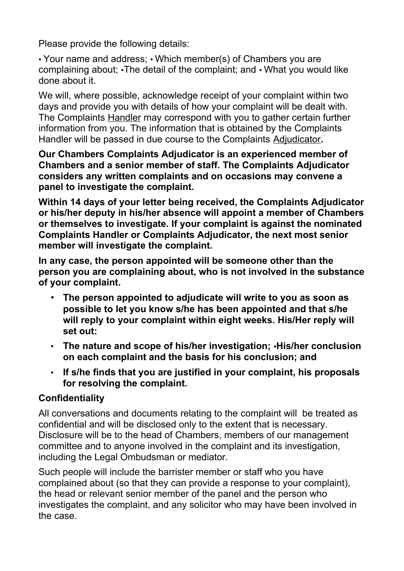Please provide the following details:

• Your name and address; • Which member(s) of Chambers you are complaining about; •The detail of the complaint; and • What you would like done about it.

We will, where possible, acknowledge receipt of your complaint within two days and provide you with details of how your complaint will be dealt with. The Complaints Handler may correspond with you to gather certain further information from you. The information that is obtained by the Complaints Handler will be passed in due course to the Complaints Adjudicator**.** 

**Our Chambers Complaints Adjudicator is an experienced member of Chambers and a senior member of staff. The Complaints Adjudicator considers any written complaints and on occasions may convene a panel to investigate the complaint.** 

**Within 14 days of your letter being received, the Complaints Adjudicator or his/her deputy in his/her absence will appoint a member of Chambers or themselves to investigate. If your complaint is against the nominated Complaints Handler or Complaints Adjudicator, the next most senior member will investigate the complaint.**

**In any case, the person appointed will be someone other than the person you are complaining about, who is not involved in the substance of your complaint.** 

- **The person appointed to adjudicate will write to you as soon as possible to let you know s/he has been appointed and that s/he will reply to your complaint within eight weeks. His/Her reply will set out:**
- **The nature and scope of his/her investigation; •His/her conclusion on each complaint and the basis for his conclusion; and**
- **If s/he finds that you are justified in your complaint, his proposals for resolving the complaint.**

# **Confidentiality**

All conversations and documents relating to the complaint will be treated as confidential and will be disclosed only to the extent that is necessary. Disclosure will be to the head of Chambers, members of our management committee and to anyone involved in the complaint and its investigation, including the Legal Ombudsman or mediator.

Such people will include the barrister member or staff who you have complained about (so that they can provide a response to your complaint), the head or relevant senior member of the panel and the person who investigates the complaint, and any solicitor who may have been involved in the case.